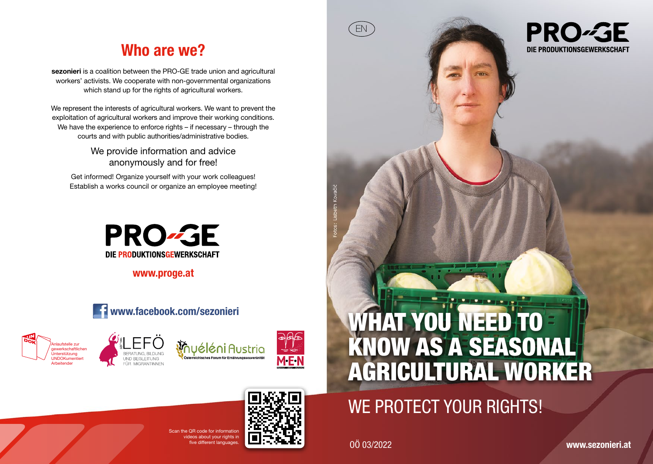## Who are we?

sezonieri is a coalition between the PRO-GE trade union and agricultural workers' activists. We cooperate with non-governmental organizations which stand up for the rights of agricultural workers.

We represent the interests of agricultural workers. We want to prevent the exploitation of agricultural workers and improve their working conditions. We have the experience to enforce rights – if necessary – through the courts and with public authorities/administrative bodies.

> We provide information and advice anonymously and for free!

Get informed! Organize yourself with your work colleagues! Establish a works council or organize an employee meeting!



www.proge.at











# WE PROTECT YOUR RIGHTS!

ive different languages. **OF FIFIT TELECTION** 

EN

**PRO-GE** DIE PRODUKTIONSGEWERKSCHAFT



 **CR code for information** ideos about your rights in